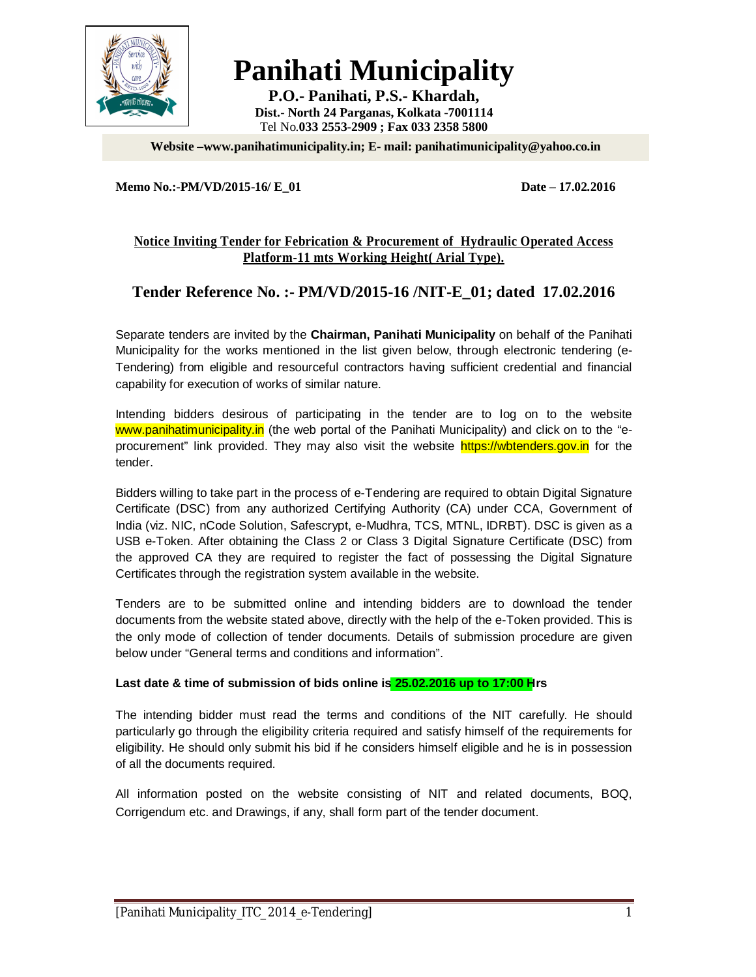

# **Panihati Municipality**

**P.O.- Panihati, P.S.- Khardah, Dist.- North 24 Parganas, Kolkata -7001114** Tel No.**033 2553-2909 ; Fax 033 2358 5800**

**Website –www.panihatimunicipality.in; E- mail: panihatimunicipality@yahoo.co.in**

#### **Memo No.:-PM/VD/2015-16/ E\_01 Date – 17.02.2016**

### **Notice Inviting Tender for Febrication & Procurement of Hydraulic Operated Access Platform-11 mts Working Height( Arial Type).**

### **Tender Reference No. :- PM/VD/2015-16 /NIT-E\_01; dated 17.02.2016**

Separate tenders are invited by the **Chairman, Panihati Municipality** on behalf of the Panihati Municipality for the works mentioned in the list given below, through electronic tendering (e-Tendering) from eligible and resourceful contractors having sufficient credential and financial capability for execution of works of similar nature.

Intending bidders desirous of participating in the tender are to log on to the website www.panihatimunicipality.in (the web portal of the Panihati Municipality) and click on to the "eprocurement" link provided. They may also visit the website https://wbtenders.gov.in for the tender.

Bidders willing to take part in the process of e-Tendering are required to obtain Digital Signature Certificate (DSC) from any authorized Certifying Authority (CA) under CCA, Government of India (viz. NIC, nCode Solution, Safescrypt, e-Mudhra, TCS, MTNL, IDRBT). DSC is given as a USB e-Token. After obtaining the Class 2 or Class 3 Digital Signature Certificate (DSC) from the approved CA they are required to register the fact of possessing the Digital Signature Certificates through the registration system available in the website.

Tenders are to be submitted online and intending bidders are to download the tender documents from the website stated above, directly with the help of the e-Token provided. This is the only mode of collection of tender documents. Details of submission procedure are given below under "General terms and conditions and information".

#### **Last date & time of submission of bids online is 25.02.2016 up to 17:00 Hrs**

The intending bidder must read the terms and conditions of the NIT carefully. He should particularly go through the eligibility criteria required and satisfy himself of the requirements for eligibility. He should only submit his bid if he considers himself eligible and he is in possession of all the documents required.

All information posted on the website consisting of NIT and related documents, BOQ, Corrigendum etc. and Drawings, if any, shall form part of the tender document.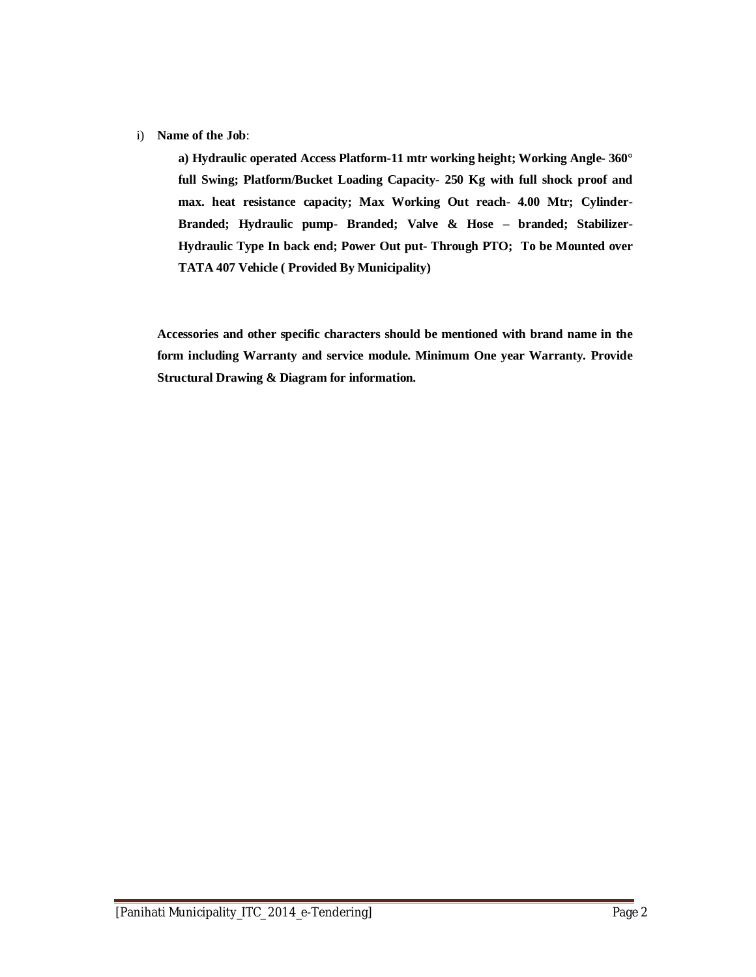#### i) **Name of the Job**:

**a) Hydraulic operated Access Platform-11 mtr working height; Working Angle- 360° full Swing; Platform/Bucket Loading Capacity- 250 Kg with full shock proof and max. heat resistance capacity; Max Working Out reach- 4.00 Mtr; Cylinder-Branded; Hydraulic pump- Branded; Valve & Hose – branded; Stabilizer-Hydraulic Type In back end; Power Out put- Through PTO; To be Mounted over TATA 407 Vehicle ( Provided By Municipality)**

**Accessories and other specific characters should be mentioned with brand name in the form including Warranty and service module. Minimum One year Warranty. Provide Structural Drawing & Diagram for information.**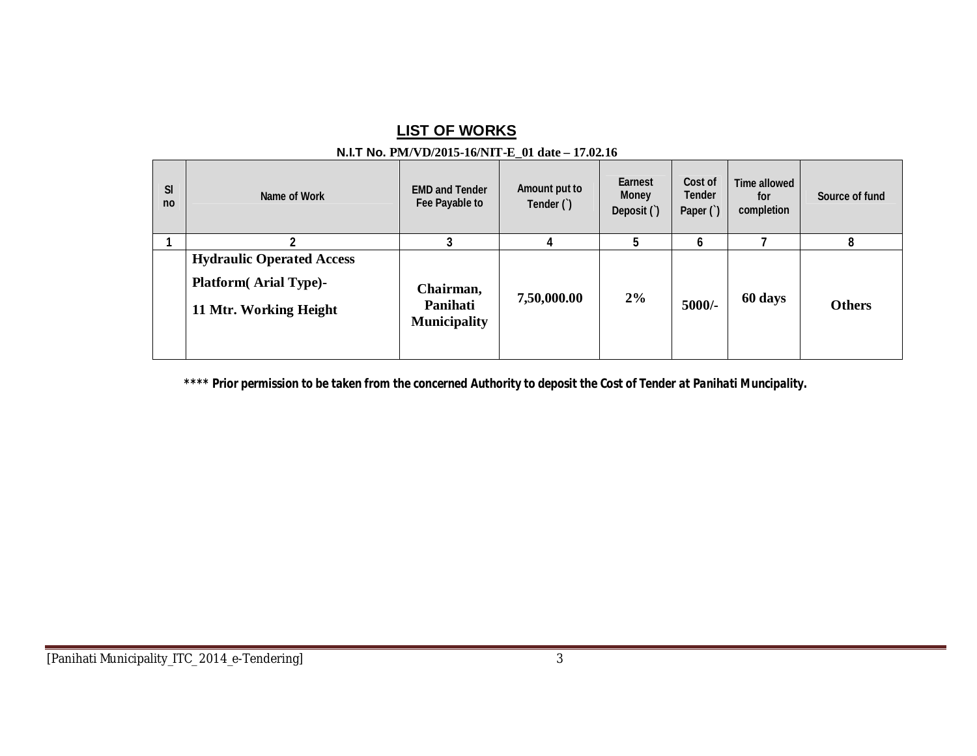## **LIST OF WORKS**

#### **N.I.T No. PM/VD/2015-16/NIT-E\_01 date – 17.02.16 Sl no Name of Work EMD and Tender Fee Payable to Amount put to Tender (`) Earnest Money Deposit (`) Cost of Tender Paper (`) Time allowed for completion Source of fund 1 2 3 4 5 6 7 8 Hydraulic Operated Access Platform( Arial Type)- 11 Mtr. Working Height Chairman, Panihati Municipality 7,50,000.00 2% 5000/- 60 days Others**

*\*\*\*\* Prior permission to be taken from the concerned Authority to deposit the Cost of Tender at Panihati Muncipality.*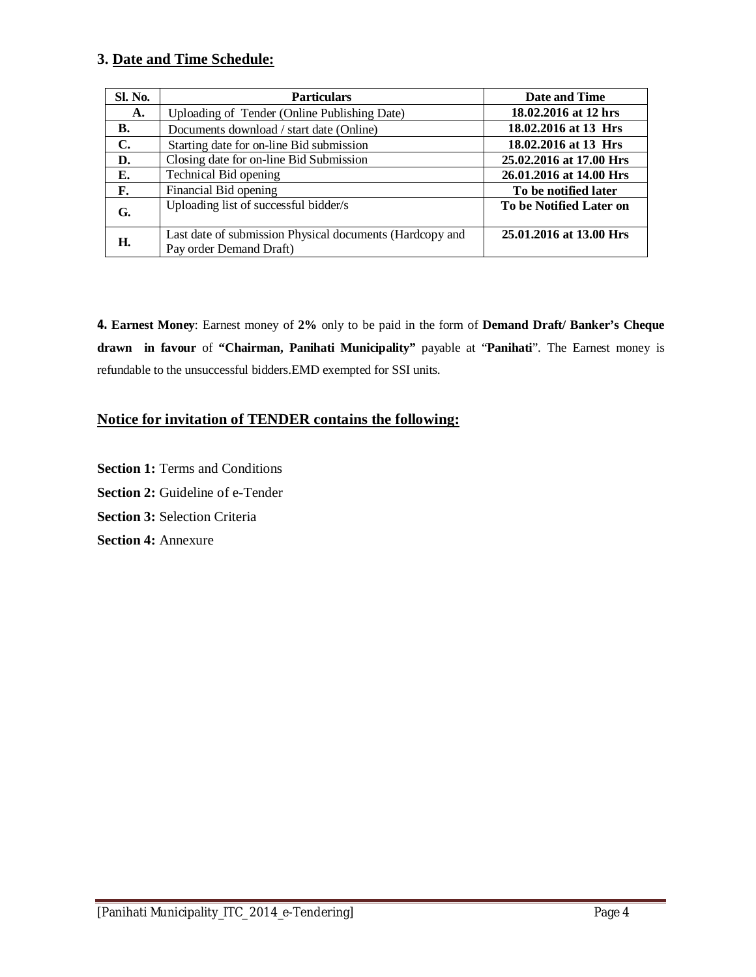### **3. Date and Time Schedule:**

| <b>Sl. No.</b> | <b>Particulars</b>                                                                  | Date and Time           |
|----------------|-------------------------------------------------------------------------------------|-------------------------|
| A.             | Uploading of Tender (Online Publishing Date)                                        | 18.02.2016 at 12 hrs    |
| В.             | Documents download / start date (Online)                                            | 18.02.2016 at 13 Hrs    |
| $\mathbf{C}$ . | Starting date for on-line Bid submission                                            | 18.02.2016 at 13 Hrs    |
| D.             | Closing date for on-line Bid Submission                                             | 25.02.2016 at 17.00 Hrs |
| Е.             | Technical Bid opening                                                               | 26.01.2016 at 14.00 Hrs |
| F.             | Financial Bid opening                                                               | To be notified later    |
| G.             | Uploading list of successful bidder/s                                               | To be Notified Later on |
| Н.             | Last date of submission Physical documents (Hardcopy and<br>Pay order Demand Draft) | 25.01.2016 at 13.00 Hrs |

**4. Earnest Money**: Earnest money of **2%** only to be paid in the form of **Demand Draft/ Banker's Cheque drawn in favour** of **"Chairman, Panihati Municipality"** payable at "**Panihati**". The Earnest money is refundable to the unsuccessful bidders.EMD exempted for SSI units.

### **Notice for invitation of TENDER contains the following:**

**Section 1: Terms and Conditions Section 2:** Guideline of e-Tender **Section 3:** Selection Criteria **Section 4:** Annexure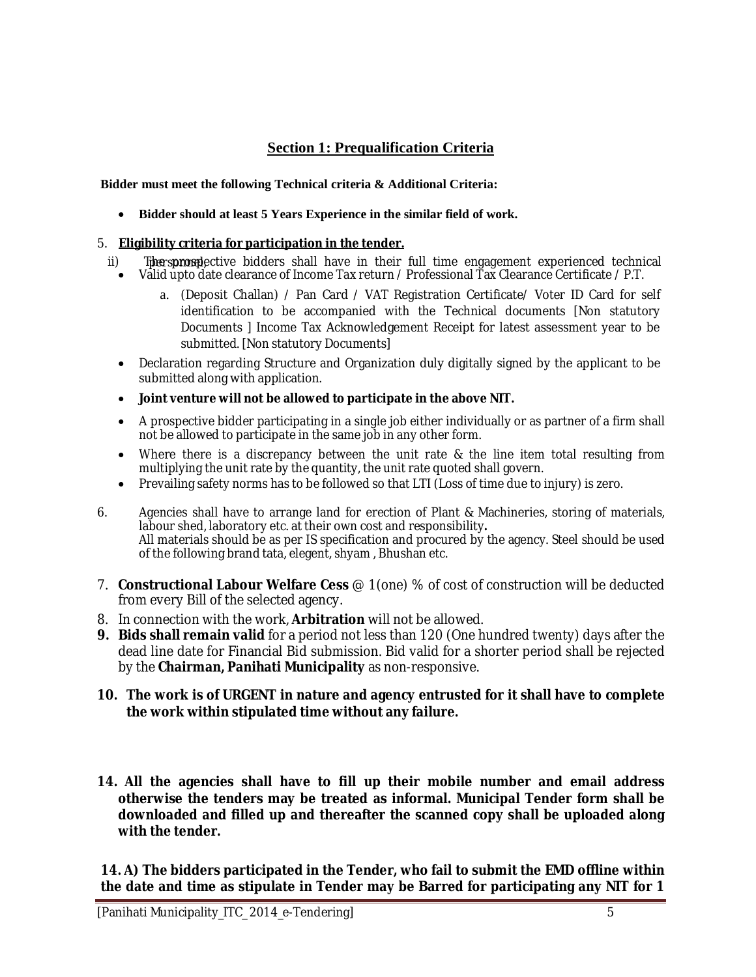### **Section 1: Prequalification Criteria**

**Bidder must meet the following Technical criteria & Additional Criteria:**

**Bidder should at least 5 Years Experience in the similar field of work.** 

### 5. **Eligibility criteria for participation in the tender.**

- ii) The sprosepective bidders shall have in their full time engagement experienced technical
- Valid upto date clearance of Income Tax return / Professional Tax Clearance Certificate / P.T.
	- a. (Deposit Challan) / Pan Card / VAT Registration Certificate/ Voter ID Card for self identification to be accompanied with the Technical documents [Non statutory Documents ] Income Tax Acknowledgement Receipt for latest assessment year to be submitted. [Non statutory Documents]
- Declaration regarding Structure and Organization duly digitally signed by the applicant to be submitted along with application.
- **Joint venture will not be allowed to participate in the above NIT.**
- A prospective bidder participating in a single job either individually or as partner of a firm shall not be allowed to participate in the same job in any other form.
- Where there is a discrepancy between the unit rate & the line item total resulting from multiplying the unit rate by the quantity, the unit rate quoted shall govern.
- Prevailing safety norms has to be followed so that LTI (Loss of time due to injury) is zero.
- 6. Agencies shall have to arrange land for erection of Plant & Machineries, storing of materials, labour shed, laboratory etc. at their own cost and responsibility**.** All materials should be as per IS specification and procured by the agency. Steel should be used of the following brand tata, elegent, shyam , Bhushan etc.
- 7. **Constructional Labour Welfare Cess** @ 1(one) % of cost of construction will be deducted from every Bill of the selected agency.
- 8. In connection with the work, **Arbitration** will not be allowed.
- **9. Bids shall remain valid** for a period not less than 120 (One hundred twenty) days after the dead line date for Financial Bid submission. Bid valid for a shorter period shall be rejected by the **Chairman, Panihati Municipality** as non-responsive.
- **10. The work is of URGENT in nature and agency entrusted for it shall have to complete the work within stipulated time without any failure.**
- **14. All the agencies shall have to fill up their mobile number and email address otherwise the tenders may be treated as informal. Municipal Tender form shall be downloaded and filled up and thereafter the scanned copy shall be uploaded along with the tender.**

**14. A) The bidders participated in the Tender, who fail to submit the EMD offline within the date and time as stipulate in Tender may be Barred for participating any NIT for 1**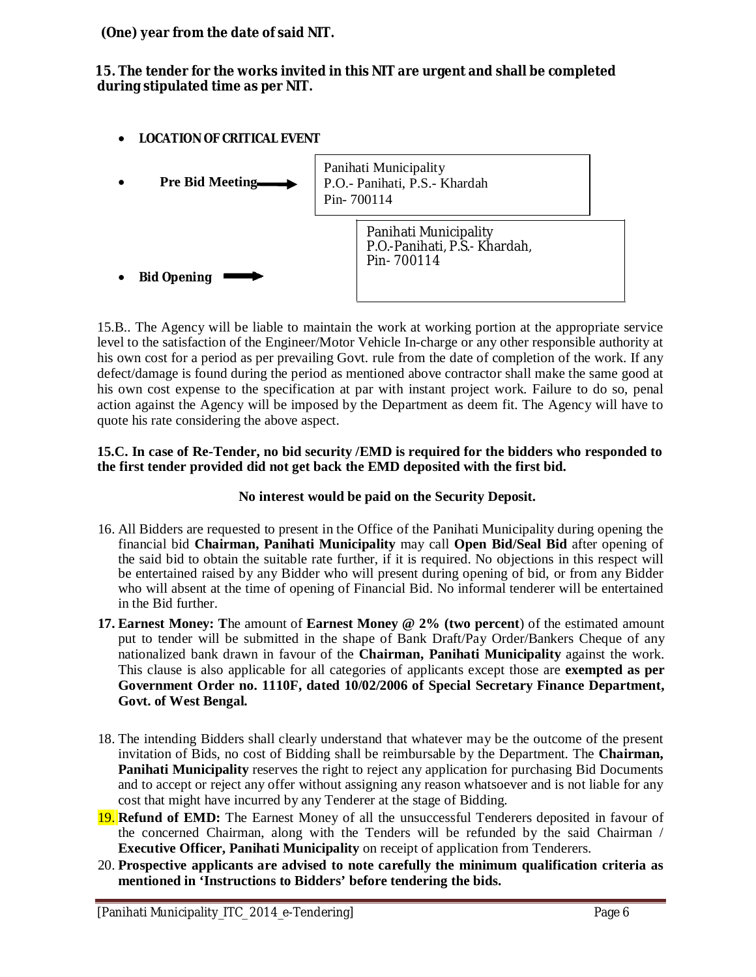**(One) year from the date of said NIT.**

**15. The tender for the works invited in this NIT are urgent and shall be completed during stipulated time as per NIT.**

**LOCATION OF CRITICAL EVENT**



15.B.. The Agency will be liable to maintain the work at working portion at the appropriate service level to the satisfaction of the Engineer/Motor Vehicle In-charge or any other responsible authority at his own cost for a period as per prevailing Govt. rule from the date of completion of the work. If any defect/damage is found during the period as mentioned above contractor shall make the same good at his own cost expense to the specification at par with instant project work. Failure to do so, penal action against the Agency will be imposed by the Department as deem fit. The Agency will have to quote his rate considering the above aspect.

### **15.C. In case of Re-Tender, no bid security /EMD is required for the bidders who responded to the first tender provided did not get back the EMD deposited with the first bid.**

### **No interest would be paid on the Security Deposit.**

- 16. All Bidders are requested to present in the Office of the Panihati Municipality during opening the financial bid **Chairman, Panihati Municipality** may call **Open Bid/Seal Bid** after opening of the said bid to obtain the suitable rate further, if it is required. No objections in this respect will be entertained raised by any Bidder who will present during opening of bid, or from any Bidder who will absent at the time of opening of Financial Bid. No informal tenderer will be entertained in the Bid further.
- **17. Earnest Money: T**he amount of **Earnest Money @ 2% (two percent**) of the estimated amount put to tender will be submitted in the shape of Bank Draft/Pay Order/Bankers Cheque of any nationalized bank drawn in favour of the **Chairman, Panihati Municipality** against the work. This clause is also applicable for all categories of applicants except those are **exempted as per Government Order no. 1110F, dated 10/02/2006 of Special Secretary Finance Department, Govt. of West Bengal.**
- 18. The intending Bidders shall clearly understand that whatever may be the outcome of the present invitation of Bids, no cost of Bidding shall be reimbursable by the Department. The **Chairman, Panihati Municipality** reserves the right to reject any application for purchasing Bid Documents and to accept or reject any offer without assigning any reason whatsoever and is not liable for any cost that might have incurred by any Tenderer at the stage of Bidding.
- 19. **Refund of EMD:** The Earnest Money of all the unsuccessful Tenderers deposited in favour of the concerned Chairman, along with the Tenders will be refunded by the said Chairman / **Executive Officer, Panihati Municipality** on receipt of application from Tenderers.
- 20. **Prospective applicants are advised to note carefully the minimum qualification criteria as mentioned in 'Instructions to Bidders' before tendering the bids.**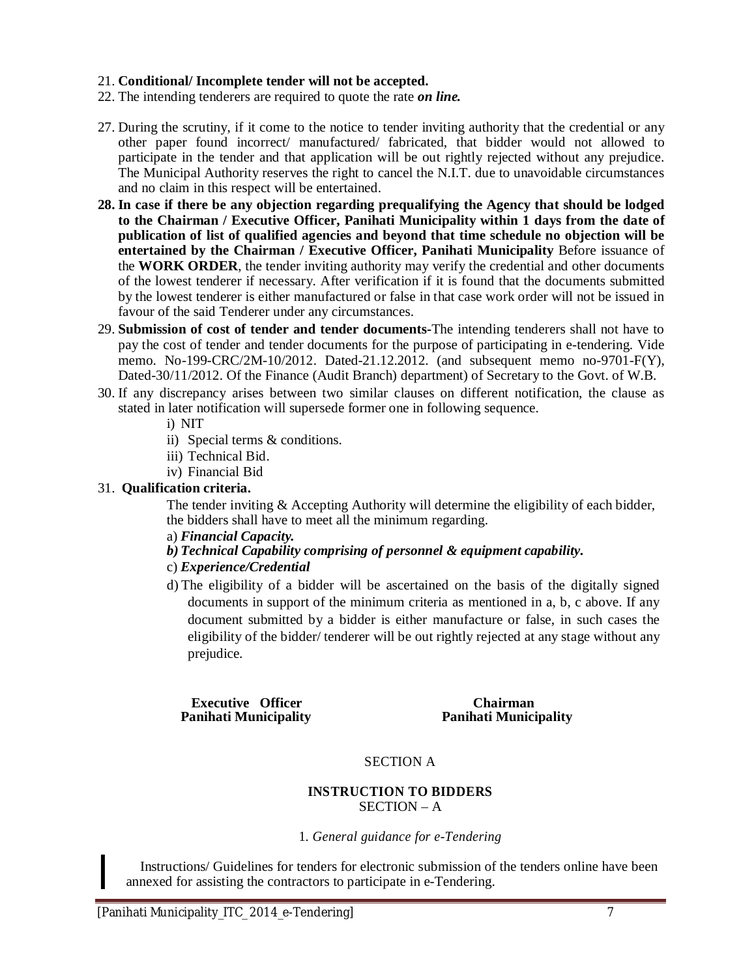#### 21. **Conditional/ Incomplete tender will not be accepted.**

- 22. The intending tenderers are required to quote the rate *on line.*
- 27. During the scrutiny, if it come to the notice to tender inviting authority that the credential or any other paper found incorrect/ manufactured/ fabricated, that bidder would not allowed to participate in the tender and that application will be out rightly rejected without any prejudice. The Municipal Authority reserves the right to cancel the N.I.T. due to unavoidable circumstances and no claim in this respect will be entertained.
- **28. In case if there be any objection regarding prequalifying the Agency that should be lodged to the Chairman / Executive Officer, Panihati Municipality within 1 days from the date of publication of list of qualified agencies and beyond that time schedule no objection will be entertained by the Chairman / Executive Officer, Panihati Municipality** Before issuance of the **WORK ORDER**, the tender inviting authority may verify the credential and other documents of the lowest tenderer if necessary. After verification if it is found that the documents submitted by the lowest tenderer is either manufactured or false in that case work order will not be issued in favour of the said Tenderer under any circumstances.
- 29. **Submission of cost of tender and tender documents-**The intending tenderers shall not have to pay the cost of tender and tender documents for the purpose of participating in e-tendering. Vide memo. No-199-CRC/2M-10/2012. Dated-21.12.2012. (and subsequent memo no-9701-F(Y), Dated-30/11/2012. Of the Finance (Audit Branch) department) of Secretary to the Govt. of W.B.
- 30. If any discrepancy arises between two similar clauses on different notification, the clause as stated in later notification will supersede former one in following sequence.

i) NIT

- ii) Special terms & conditions.
- iii) Technical Bid.
- iv) Financial Bid

### 31. **Qualification criteria.**

The tender inviting  $&$  Accepting Authority will determine the eligibility of each bidder, the bidders shall have to meet all the minimum regarding.

- a) *Financial Capacity.*
- *b) Technical Capability comprising of personnel & equipment capability.*
- c) *Experience/Credential*
- d) The eligibility of a bidder will be ascertained on the basis of the digitally signed documents in support of the minimum criteria as mentioned in a, b, c above. If any document submitted by a bidder is either manufacture or false, in such cases the eligibility of the bidder/ tenderer will be out rightly rejected at any stage without any prejudice.

**Executive Officer Chairman<br>
Panihati Municipality Letter Chairman**<br>
Panihati Munici

**Panihati Municipality Panihati Municipality**

### SECTION A

#### **INSTRUCTION TO BIDDERS** SECTION – A

#### 1. *General guidance for e-Tendering*

Instructions/ Guidelines for tenders for electronic submission of the tenders online have been annexed for assisting the contractors to participate in e-Tendering.

I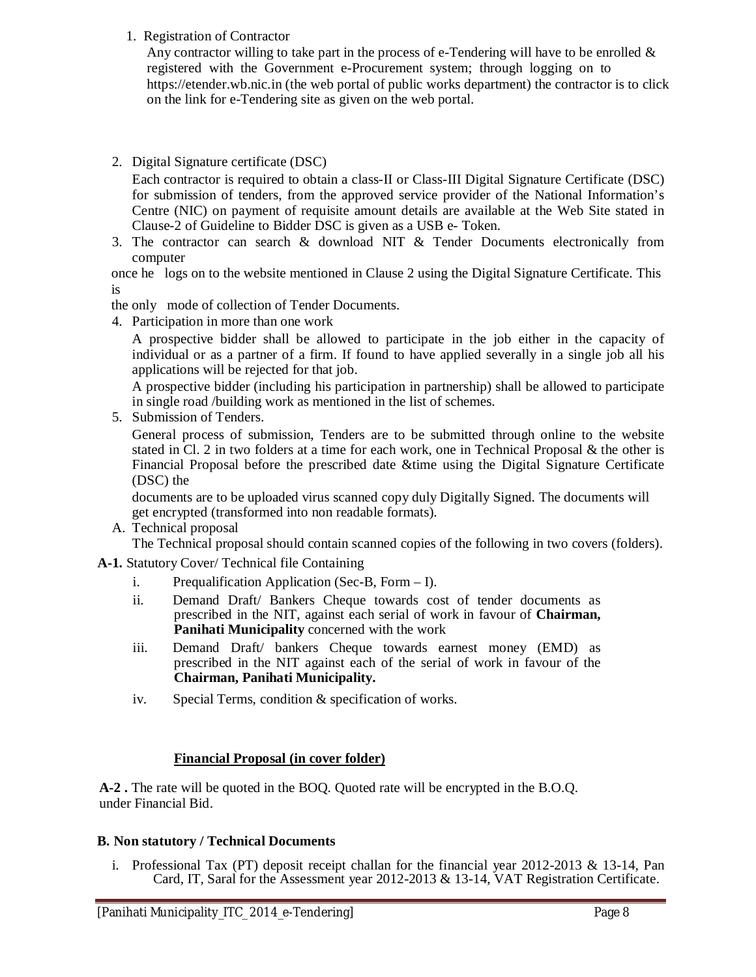### 1. Registration of Contractor

Any contractor willing to take part in the process of e-Tendering will have to be enrolled  $\&$ registered with the Government e-Procurement system; through logging on to https://etender.wb.nic.in (the web portal of public works department) the contractor is to click on the link for e-Tendering site as given on the web portal.

2. Digital Signature certificate (DSC)

Each contractor is required to obtain a class-II or Class-III Digital Signature Certificate (DSC) for submission of tenders, from the approved service provider of the National Information's Centre (NIC) on payment of requisite amount details are available at the Web Site stated in Clause-2 of Guideline to Bidder DSC is given as a USB e- Token.

3. The contractor can search & download NIT & Tender Documents electronically from computer

once he logs on to the website mentioned in Clause 2 using the Digital Signature Certificate. This is

the only mode of collection of Tender Documents.

4. Participation in more than one work

A prospective bidder shall be allowed to participate in the job either in the capacity of individual or as a partner of a firm. If found to have applied severally in a single job all his applications will be rejected for that job.

A prospective bidder (including his participation in partnership) shall be allowed to participate in single road /building work as mentioned in the list of schemes.

5. Submission of Tenders.

General process of submission, Tenders are to be submitted through online to the website stated in Cl. 2 in two folders at a time for each work, one in Technical Proposal & the other is Financial Proposal before the prescribed date &time using the Digital Signature Certificate (DSC) the

documents are to be uploaded virus scanned copy duly Digitally Signed. The documents will get encrypted (transformed into non readable formats).

A. Technical proposal

The Technical proposal should contain scanned copies of the following in two covers (folders).

**A-1.** Statutory Cover/ Technical file Containing

- i. Prequalification Application (Sec-B, Form I).
- ii. Demand Draft/ Bankers Cheque towards cost of tender documents as prescribed in the NIT, against each serial of work in favour of **Chairman, Panihati Municipality** concerned with the work
- iii. Demand Draft/ bankers Cheque towards earnest money (EMD) as prescribed in the NIT against each of the serial of work in favour of the **Chairman, Panihati Municipality.**
- iv. Special Terms, condition & specification of works.

### **Financial Proposal (in cover folder)**

**A-2 .** The rate will be quoted in the BOQ. Quoted rate will be encrypted in the B.O.Q. under Financial Bid.

### **B. Non statutory / Technical Documents**

i. Professional Tax (PT) deposit receipt challan for the financial year  $2012$ - $2013 \& 13$ -14, Pan Card, IT, Saral for the Assessment year 2012-2013 & 13-14, VAT Registration Certificate.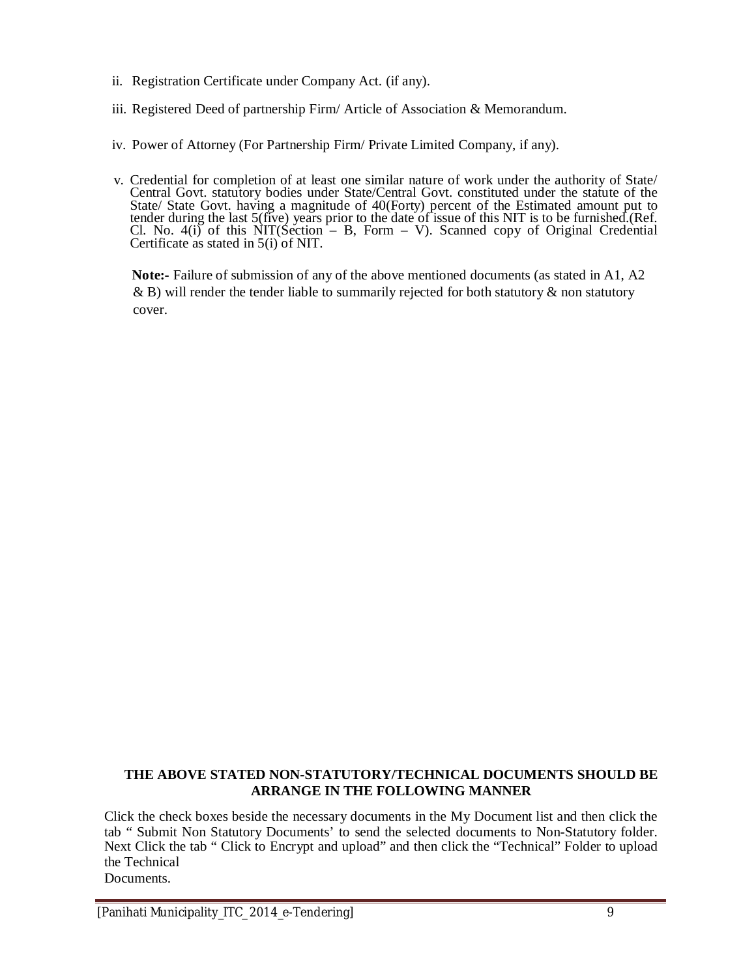- ii. Registration Certificate under Company Act. (if any).
- iii. Registered Deed of partnership Firm/ Article of Association & Memorandum.
- iv. Power of Attorney (For Partnership Firm/ Private Limited Company, if any).
- v. Credential for completion of at least one similar nature of work under the authority of State/ Central Govt. statutory bodies under State/Central Govt. constituted under the statute of the State/ State Govt. having a magnitude of 40(Forty) percent of the Estimated amount put to tender during the last 5(five) years prior to the date of issue of this NIT is to be furnished.(Ref. Cl. No. 4(i) of this NIT(Section – B, Form – V). Scanned copy of Original Credential Certificate as stated in 5(i) of NIT.

**Note:-** Failure of submission of any of the above mentioned documents (as stated in A1, A2  $\&$  B) will render the tender liable to summarily rejected for both statutory  $\&$  non statutory cover.

#### **THE ABOVE STATED NON-STATUTORY/TECHNICAL DOCUMENTS SHOULD BE ARRANGE IN THE FOLLOWING MANNER**

Click the check boxes beside the necessary documents in the My Document list and then click the tab " Submit Non Statutory Documents' to send the selected documents to Non-Statutory folder. Next Click the tab " Click to Encrypt and upload" and then click the "Technical" Folder to upload the Technical Documents.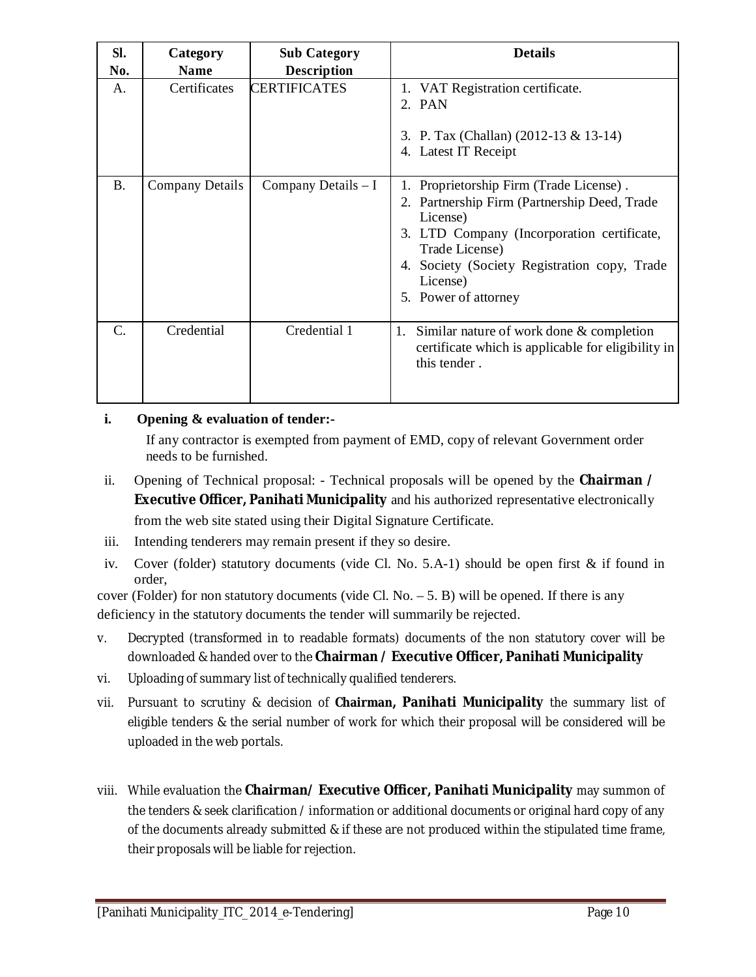| SI.<br>No.      | Category<br><b>Name</b> | <b>Sub Category</b><br><b>Description</b> | <b>Details</b>                                                                                                                                                                                                                                          |
|-----------------|-------------------------|-------------------------------------------|---------------------------------------------------------------------------------------------------------------------------------------------------------------------------------------------------------------------------------------------------------|
| A.              | Certificates            | <b>CERTIFICATES</b>                       | 1. VAT Registration certificate.<br>2. PAN<br>3. P. Tax (Challan) (2012-13 & 13-14)<br>4. Latest IT Receipt                                                                                                                                             |
| <b>B.</b>       | <b>Company Details</b>  | Company Details $-I$                      | 1. Proprietorship Firm (Trade License).<br>2. Partnership Firm (Partnership Deed, Trade<br>License)<br>3. LTD Company (Incorporation certificate,<br>Trade License)<br>4. Society (Society Registration copy, Trade<br>License)<br>5. Power of attorney |
| $\mathcal{C}$ . | Credential              | Credential 1                              | Similar nature of work done & completion<br>1.<br>certificate which is applicable for eligibility in<br>this tender.                                                                                                                                    |

### **i. Opening & evaluation of tender:-**

If any contractor is exempted from payment of EMD, copy of relevant Government order needs to be furnished.

- ii. Opening of Technical proposal: Technical proposals will be opened by the **Chairman / Executive Officer, Panihati Municipality** and his authorized representative electronically from the web site stated using their Digital Signature Certificate.
- iii. Intending tenderers may remain present if they so desire.
- iv. Cover (folder) statutory documents (vide Cl. No.  $5.A-1$ ) should be open first  $\&$  if found in order,

cover (Folder) for non statutory documents (vide Cl. No.  $-5$ . B) will be opened. If there is any deficiency in the statutory documents the tender will summarily be rejected.

- v. Decrypted (transformed in to readable formats) documents of the non statutory cover will be downloaded & handed over to the **Chairman / Executive Officer, Panihati Municipality**
- vi. Uploading of summary list of technically qualified tenderers.
- vii. Pursuant to scrutiny & decision of **Chairman, Panihati Municipality** the summary list of eligible tenders & the serial number of work for which their proposal will be considered will be uploaded in the web portals.
- viii. While evaluation the **Chairman/ Executive Officer, Panihati Municipality** may summon of the tenders & seek clarification / information or additional documents or original hard copy of any of the documents already submitted & if these are not produced within the stipulated time frame, their proposals will be liable for rejection.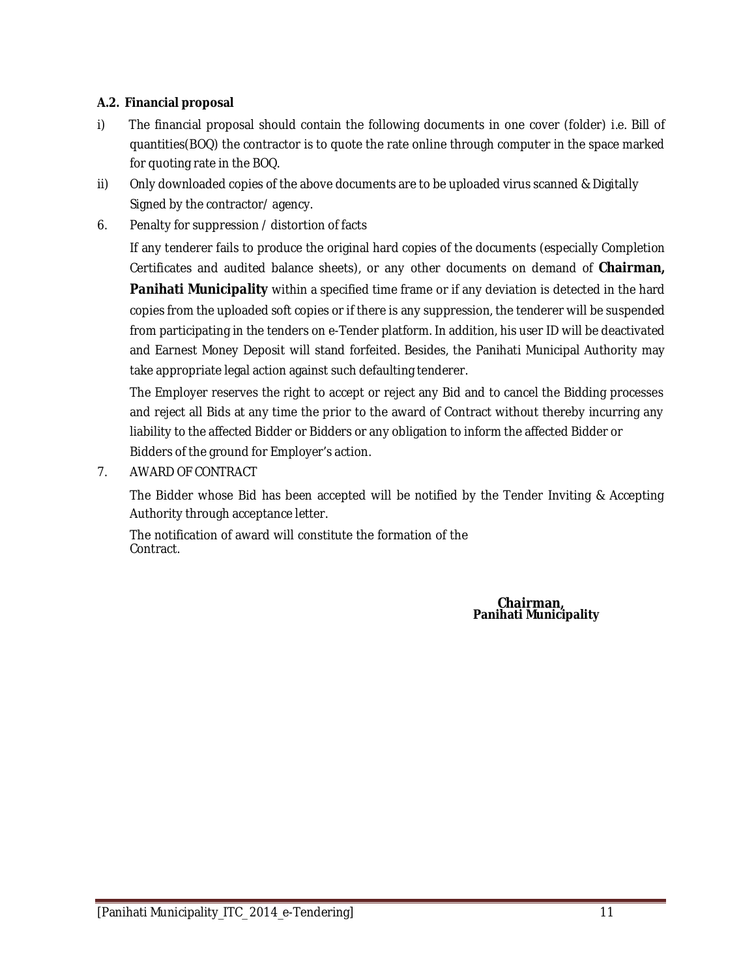### **A.2. Financial proposal**

- i) The financial proposal should contain the following documents in one cover (folder) i.e. Bill of quantities(BOQ) the contractor is to quote the rate online through computer in the space marked for quoting rate in the BOQ.
- ii) Only downloaded copies of the above documents are to be uploaded virus scanned & Digitally Signed by the contractor/ agency.
- 6. Penalty for suppression / distortion of facts

If any tenderer fails to produce the original hard copies of the documents (especially Completion Certificates and audited balance sheets), or any other documents on demand of **Chairman, Panihati Municipality** within a specified time frame or if any deviation is detected in the hard copies from the uploaded soft copies or if there is any suppression, the tenderer will be suspended from participating in the tenders on e-Tender platform. In addition, his user ID will be deactivated and Earnest Money Deposit will stand forfeited. Besides, the Panihati Municipal Authority may take appropriate legal action against such defaulting tenderer.

The Employer reserves the right to accept or reject any Bid and to cancel the Bidding processes and reject all Bids at any time the prior to the award of Contract without thereby incurring any liability to the affected Bidder or Bidders or any obligation to inform the affected Bidder or Bidders of the ground for Employer's action.

7. AWARD OF CONTRACT

The Bidder whose Bid has been accepted will be notified by the Tender Inviting & Accepting Authority through acceptance letter.

The notification of award will constitute the formation of the Contract.

> **Chairman, Panihati Municipality**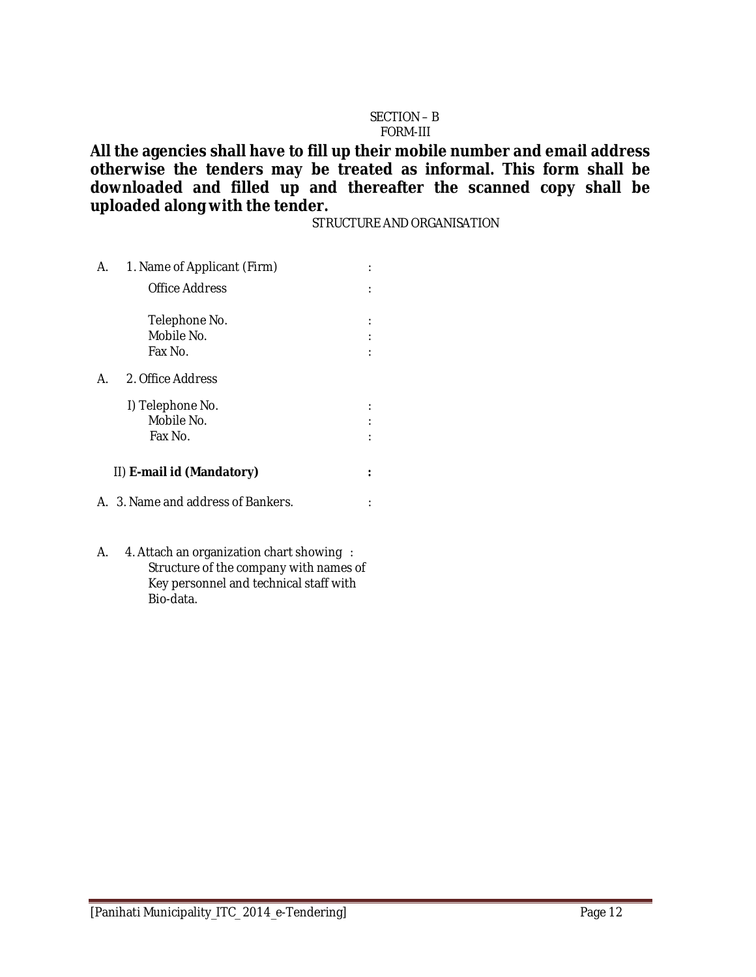#### SECTION – B FORM-III

**All the agencies shall have to fill up their mobile number and email address otherwise the tenders may be treated as informal. This form shall be downloaded and filled up and thereafter the scanned copy shall be uploaded along with the tender.**

STRUCTURE AND ORGANISATION

| А. | 1. Name of Applicant (Firm)        |  |
|----|------------------------------------|--|
|    | Office Address                     |  |
|    | Telephone No.<br>Mobile No.        |  |
|    | Fax No.                            |  |
| А  | 2. Office Address                  |  |
|    | I) Telephone No.                   |  |
|    | Mobile No.<br>Fax No.              |  |
|    | II) E-mail id (Mandatory)          |  |
|    |                                    |  |
|    | A. 3. Name and address of Bankers. |  |

A. 4. Attach an organization chart showing : Structure of the company with names of Key personnel and technical staff with Bio-data.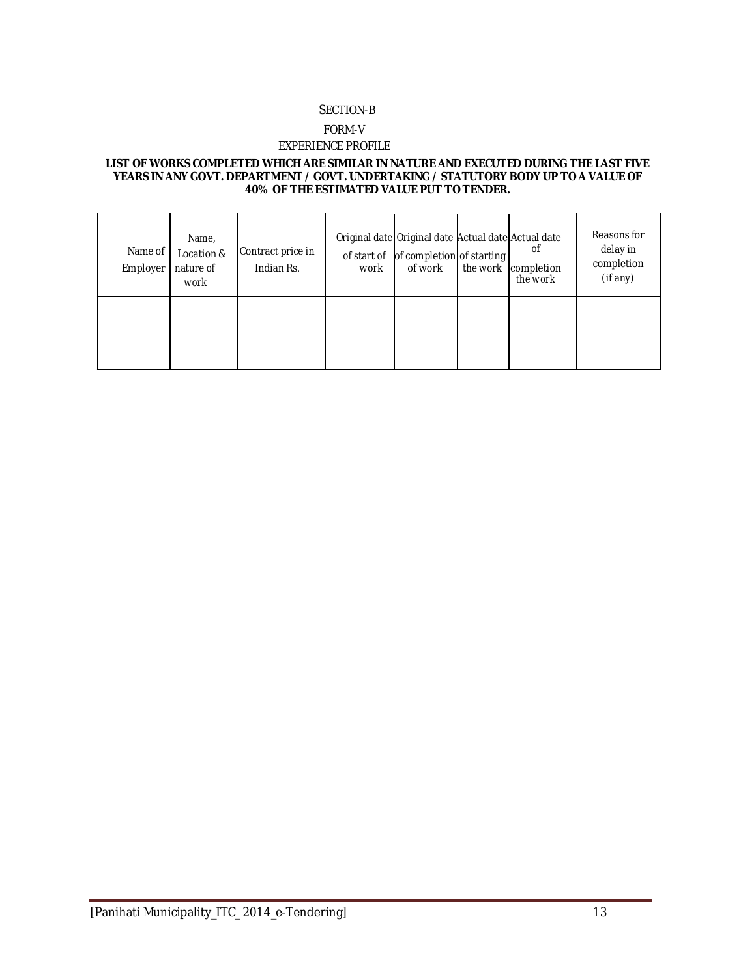#### SECTION-B

#### FORM-V

#### EXPERIENCE PROFILE

#### **LIST OF WORKS COMPLETED WHICH ARE SIMILAR IN NATURE AND EXECUTED DURING THE LAST FIVE YEARS IN ANY GOVT. DEPARTMENT / GOVT. UNDERTAKING / STATUTORY BODY UP TO A VALUE OF 40% OF THE ESTIMATED VALUE PUT TO TENDER.**

| Name of<br>Employer | Name,<br>Location &<br>nature of<br>work | Contract price in<br>Indian Rs. | work | Original date Original date Actual date Actual date<br>of start of of completion of starting<br>of work | the work | οf<br>completion<br>the work | Reasons for<br>delay in<br>completion<br>(if any) |
|---------------------|------------------------------------------|---------------------------------|------|---------------------------------------------------------------------------------------------------------|----------|------------------------------|---------------------------------------------------|
|                     |                                          |                                 |      |                                                                                                         |          |                              |                                                   |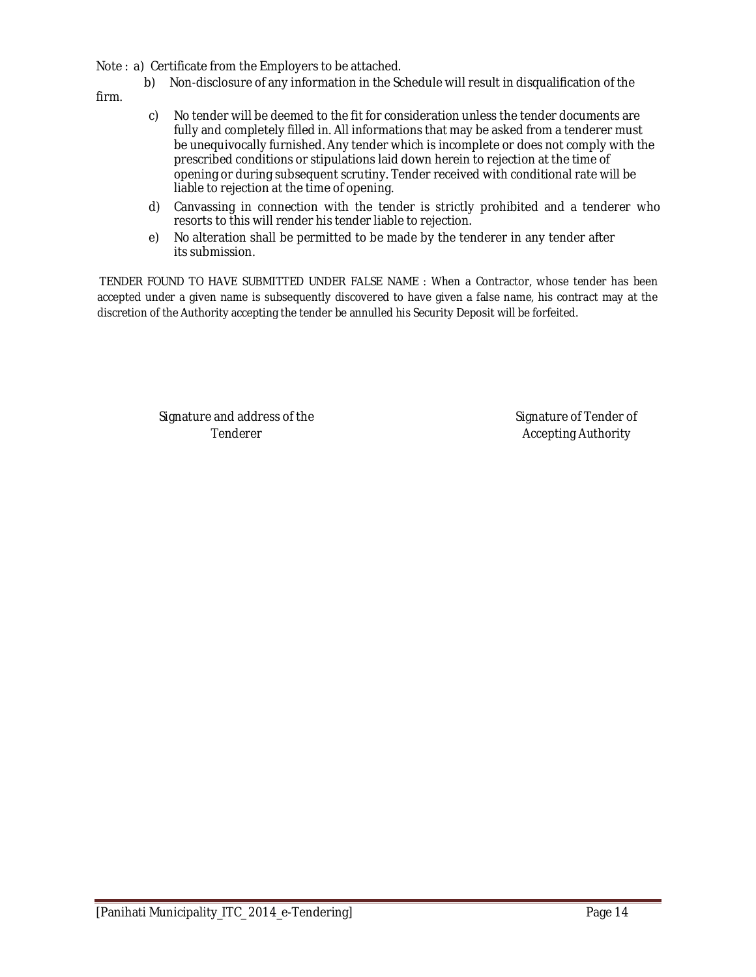Note : a) Certificate from the Employers to be attached.

b) Non-disclosure of any information in the Schedule will result in disqualification of the

firm.

- c) No tender will be deemed to the fit for consideration unless the tender documents are fully and completely filled in. All informations that may be asked from a tenderer must be unequivocally furnished. Any tender which is incomplete or does not comply with the prescribed conditions or stipulations laid down herein to rejection at the time of opening or during subsequent scrutiny. Tender received with conditional rate will be liable to rejection at the time of opening.
- d) Canvassing in connection with the tender is strictly prohibited and a tenderer who resorts to this will render his tender liable to rejection.
- e) No alteration shall be permitted to be made by the tenderer in any tender after its submission.

TENDER FOUND TO HAVE SUBMITTED UNDER FALSE NAME : When a Contractor, whose tender has been accepted under a given name is subsequently discovered to have given a false name, his contract may at the discretion of the Authority accepting the tender be annulled his Security Deposit will be forfeited.

Signature and address of the Signature of Tender of Tender of Tender of Tender of Tender of Tender of Tender of Tender of Tender of Tender of Tender of Tender of Tender of Tender of Tender of Tender of Tender of Tender of

Tenderer **Accepting Authority**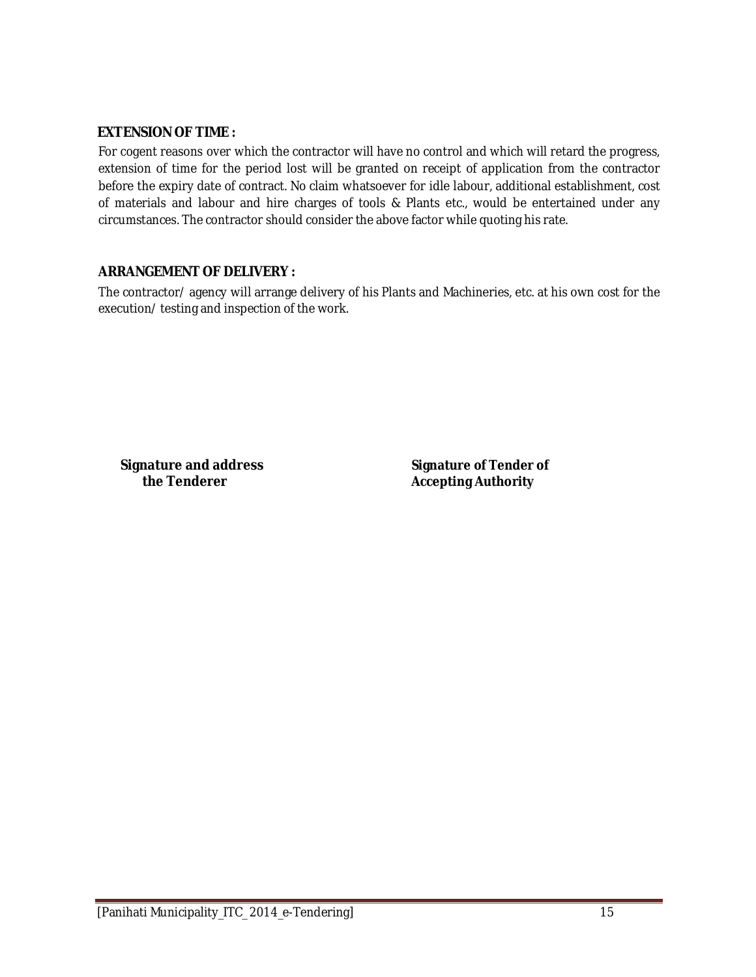### **EXTENSION OF TIME :**

For cogent reasons over which the contractor will have no control and which will retard the progress, extension of time for the period lost will be granted on receipt of application from the contractor before the expiry date of contract. No claim whatsoever for idle labour, additional establishment, cost of materials and labour and hire charges of tools & Plants etc., would be entertained under any circumstances. The contractor should consider the above factor while quoting his rate.

### **ARRANGEMENT OF DELIVERY :**

The contractor/ agency will arrange delivery of his Plants and Machineries, etc. at his own cost for the execution/ testing and inspection of the work.

**Signature and address Signature of Tender of the Tenderer Accepting Authority**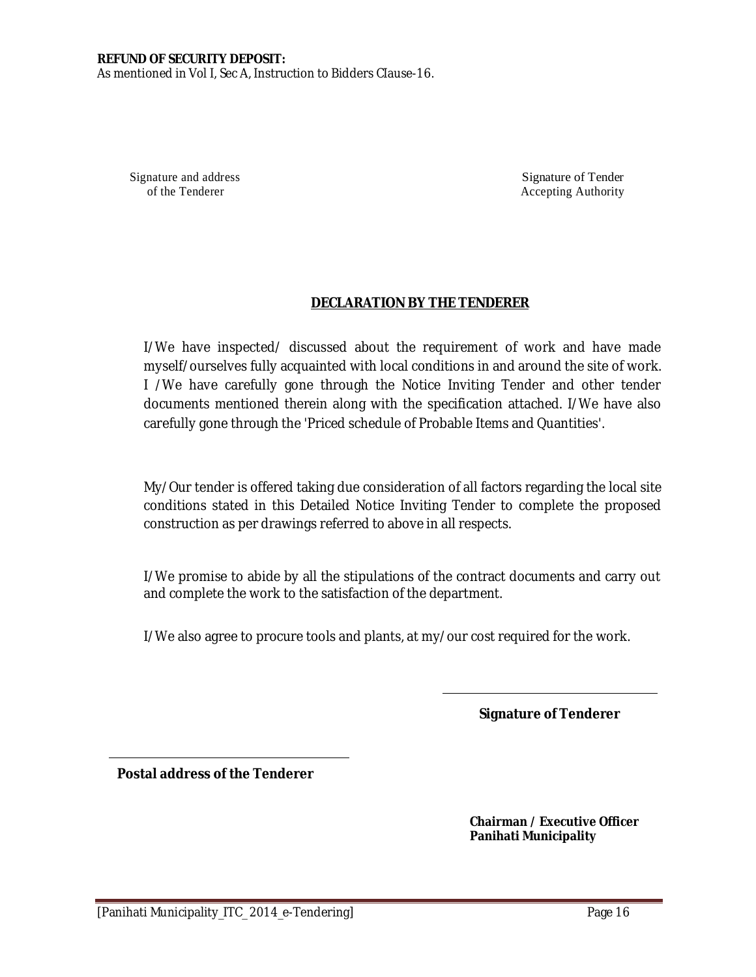As mentioned in Vol I, Sec A, Instruction to Bidders CIause-16.

Signature and address Signature of Tender of the Tenderer Accepting Authority Accepting Authority

### **DECLARATION BY THE TENDERER**

I/We have inspected/ discussed about the requirement of work and have made myself/ourselves fully acquainted with local conditions in and around the site of work. I /We have carefully gone through the Notice Inviting Tender and other tender documents mentioned therein along with the specification attached. I/We have also carefully gone through the 'Priced schedule of Probable Items and Quantities'.

My/Our tender is offered taking due consideration of all factors regarding the local site conditions stated in this Detailed Notice Inviting Tender to complete the proposed construction as per drawings referred to above in all respects.

I/We promise to abide by all the stipulations of the contract documents and carry out and complete the work to the satisfaction of the department.

I/We also agree to procure tools and plants, at my/our cost required for the work.

**Signature of Tenderer**

**Postal address of the Tenderer**

**Chairman / Executive Officer Panihati Municipality**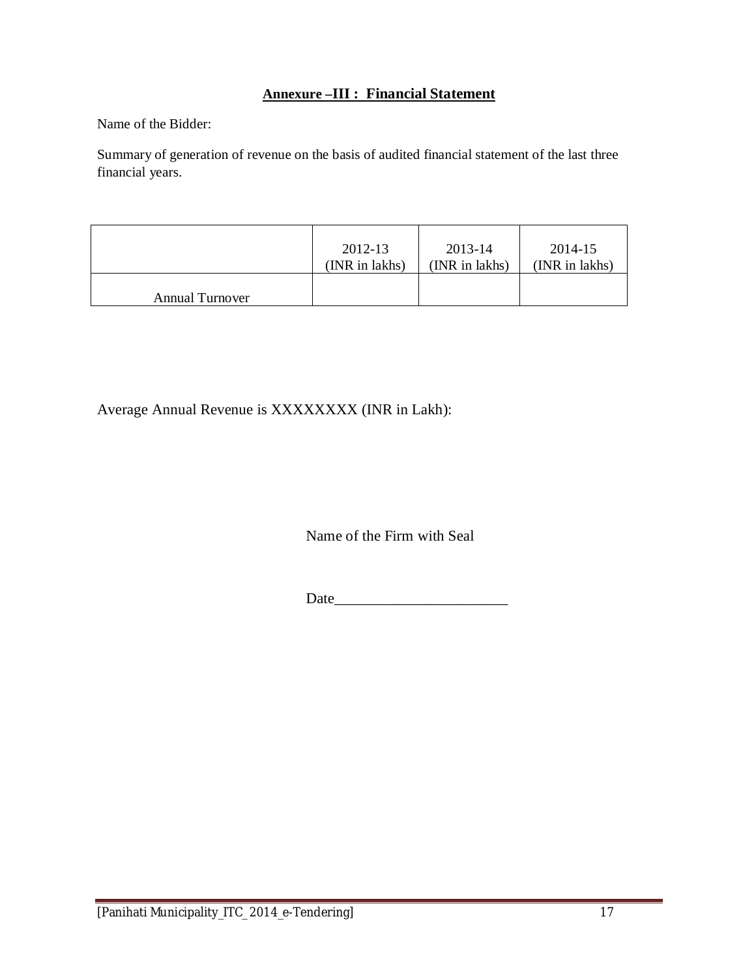### **Annexure –III : Financial Statement**

Name of the Bidder:

Summary of generation of revenue on the basis of audited financial statement of the last three financial years.

|                        | 2012-13        | 2013-14        | 2014-15        |
|------------------------|----------------|----------------|----------------|
|                        | (INR in lakhs) | (INR in lakhs) | (INR in lakhs) |
| <b>Annual Turnover</b> |                |                |                |

Average Annual Revenue is XXXXXXXX (INR in Lakh):

Name of the Firm with Seal

Date\_\_\_\_\_\_\_\_\_\_\_\_\_\_\_\_\_\_\_\_\_\_\_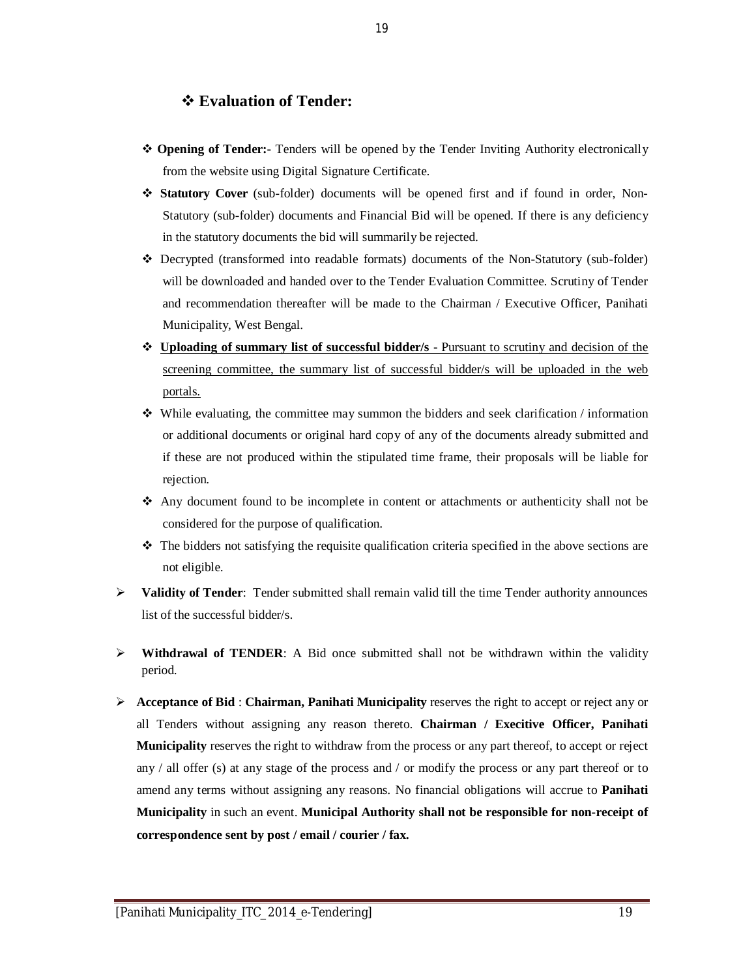### **Evaluation of Tender:**

- **Opening of Tender:-** Tenders will be opened by the Tender Inviting Authority electronically from the website using Digital Signature Certificate.
- **Statutory Cover** (sub-folder) documents will be opened first and if found in order, Non-Statutory (sub-folder) documents and Financial Bid will be opened. If there is any deficiency in the statutory documents the bid will summarily be rejected.
- Decrypted (transformed into readable formats) documents of the Non-Statutory (sub-folder) will be downloaded and handed over to the Tender Evaluation Committee. Scrutiny of Tender and recommendation thereafter will be made to the Chairman / Executive Officer, Panihati Municipality, West Bengal.
- **Uploading of summary list of successful bidder/s -** Pursuant to scrutiny and decision of the screening committee, the summary list of successful bidder/s will be uploaded in the web portals.
- $\bullet$  While evaluating, the committee may summon the bidders and seek clarification / information or additional documents or original hard copy of any of the documents already submitted and if these are not produced within the stipulated time frame, their proposals will be liable for rejection.
- Any document found to be incomplete in content or attachments or authenticity shall not be considered for the purpose of qualification.
- $\cdot \cdot$  The bidders not satisfying the requisite qualification criteria specified in the above sections are not eligible.
- **Validity of Tender**: Tender submitted shall remain valid till the time Tender authority announces list of the successful bidder/s.
- **Withdrawal of TENDER**: A Bid once submitted shall not be withdrawn within the validity period.
- **Acceptance of Bid** : **Chairman, Panihati Municipality** reserves the right to accept or reject any or all Tenders without assigning any reason thereto. **Chairman / Execitive Officer, Panihati Municipality** reserves the right to withdraw from the process or any part thereof, to accept or reject any / all offer (s) at any stage of the process and / or modify the process or any part thereof or to amend any terms without assigning any reasons. No financial obligations will accrue to **Panihati Municipality** in such an event. **Municipal Authority shall not be responsible for non-receipt of correspondence sent by post / email / courier / fax.**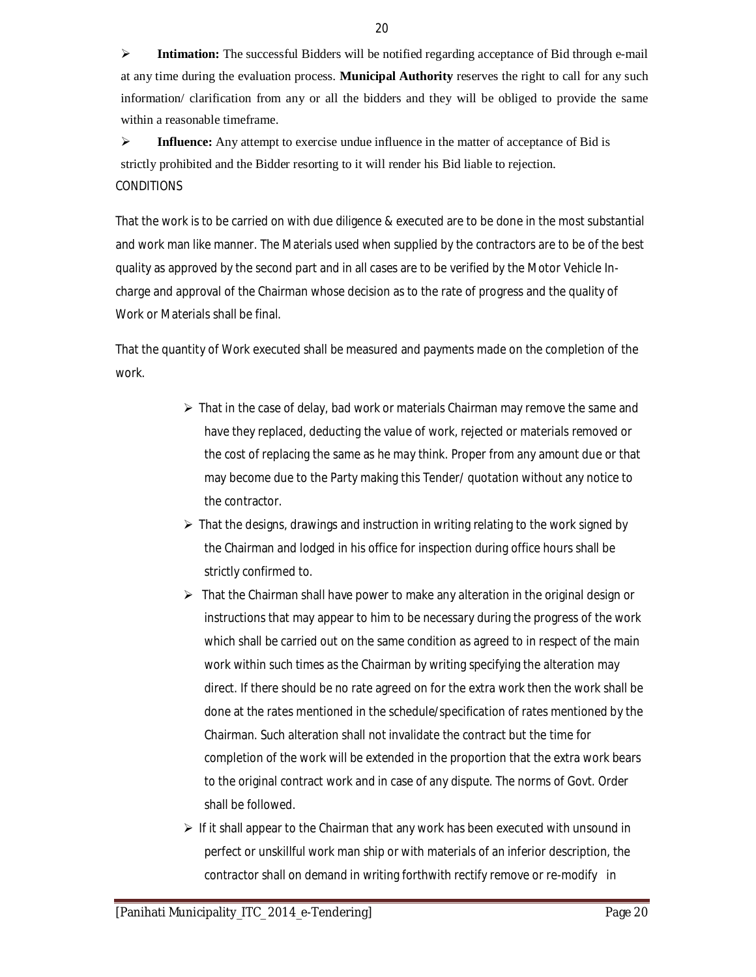**Intimation:** The successful Bidders will be notified regarding acceptance of Bid through e-mail at any time during the evaluation process. **Municipal Authority** reserves the right to call for any such information/ clarification from any or all the bidders and they will be obliged to provide the same within a reasonable timeframe.

 **Influence:** Any attempt to exercise undue influence in the matter of acceptance of Bid is strictly prohibited and the Bidder resorting to it will render his Bid liable to rejection. **CONDITIONS** 

That the work is to be carried on with due diligence & executed are to be done in the most substantial and work man like manner. The Materials used when supplied by the contractors are to be of the best quality as approved by the second part and in all cases are to be verified by the Motor Vehicle Incharge and approval of the Chairman whose decision as to the rate of progress and the quality of Work or Materials shall be final.

That the quantity of Work executed shall be measured and payments made on the completion of the work.

- $\triangleright$  That in the case of delay, bad work or materials Chairman may remove the same and have they replaced, deducting the value of work, rejected or materials removed or the cost of replacing the same as he may think. Proper from any amount due or that may become due to the Party making this Tender/ quotation without any notice to the contractor.
- $\triangleright$  That the designs, drawings and instruction in writing relating to the work signed by the Chairman and lodged in his office for inspection during office hours shall be strictly confirmed to.
- $\triangleright$  That the Chairman shall have power to make any alteration in the original design or instructions that may appear to him to be necessary during the progress of the work which shall be carried out on the same condition as agreed to in respect of the main work within such times as the Chairman by writing specifying the alteration may direct. If there should be no rate agreed on for the extra work then the work shall be done at the rates mentioned in the schedule/specification of rates mentioned by the Chairman. Such alteration shall not invalidate the contract but the time for completion of the work will be extended in the proportion that the extra work bears to the original contract work and in case of any dispute. The norms of Govt. Order shall be followed.
- $\triangleright$  If it shall appear to the Chairman that any work has been executed with unsound in perfect or unskillful work man ship or with materials of an inferior description, the contractor shall on demand in writing forthwith rectify remove or re-modify in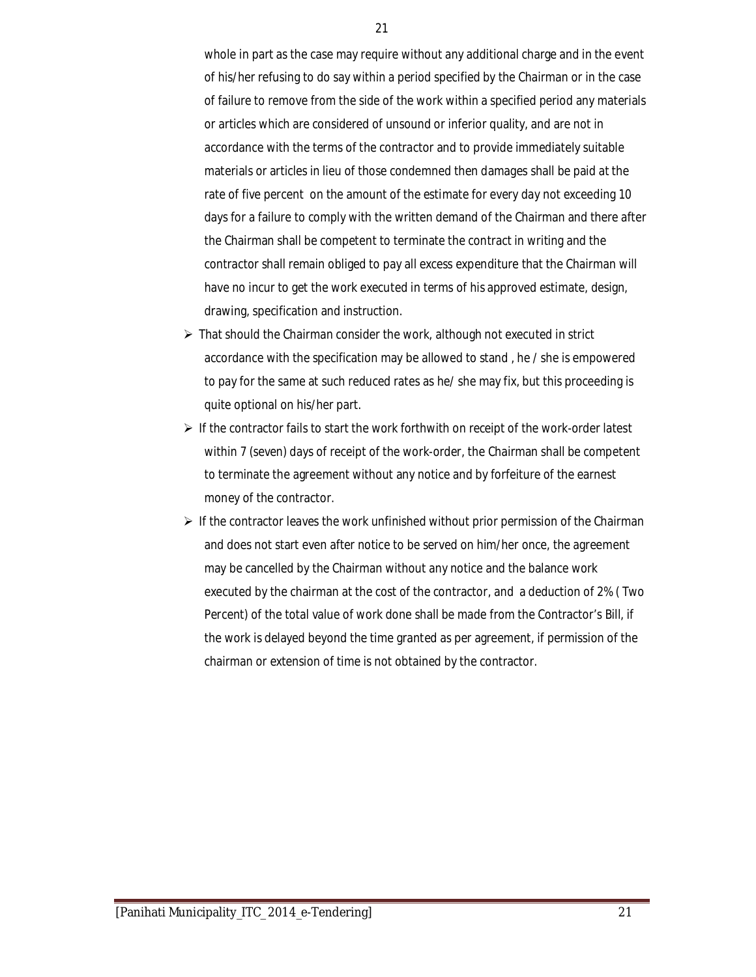whole in part as the case may require without any additional charge and in the event of his/her refusing to do say within a period specified by the Chairman or in the case of failure to remove from the side of the work within a specified period any materials or articles which are considered of unsound or inferior quality, and are not in accordance with the terms of the contractor and to provide immediately suitable materials or articles in lieu of those condemned then damages shall be paid at the rate of five percent on the amount of the estimate for every day not exceeding 10 days for a failure to comply with the written demand of the Chairman and there after the Chairman shall be competent to terminate the contract in writing and the contractor shall remain obliged to pay all excess expenditure that the Chairman will have no incur to get the work executed in terms of his approved estimate, design, drawing, specification and instruction.

- $\triangleright$  That should the Chairman consider the work, although not executed in strict accordance with the specification may be allowed to stand , he / she is empowered to pay for the same at such reduced rates as he/ she may fix, but this proceeding is quite optional on his/her part.
- $\triangleright$  If the contractor fails to start the work forthwith on receipt of the work-order latest within 7 (seven) days of receipt of the work-order, the Chairman shall be competent to terminate the agreement without any notice and by forfeiture of the earnest money of the contractor.
- $\triangleright$  If the contractor leaves the work unfinished without prior permission of the Chairman and does not start even after notice to be served on him/her once, the agreement may be cancelled by the Chairman without any notice and the balance work executed by the chairman at the cost of the contractor, and a deduction of 2% ( Two Percent) of the total value of work done shall be made from the Contractor's Bill, if the work is delayed beyond the time granted as per agreement, if permission of the chairman or extension of time is not obtained by the contractor.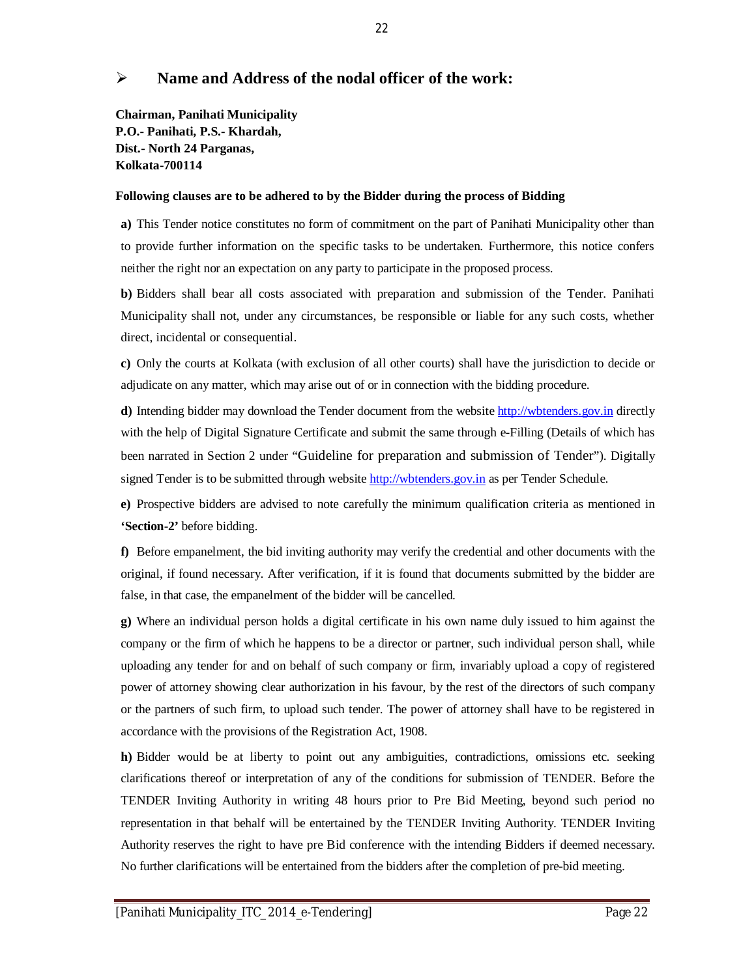### **Name and Address of the nodal officer of the work:**

**Chairman, Panihati Municipality P.O.- Panihati, P.S.- Khardah, Dist.- North 24 Parganas, Kolkata-700114**

#### **Following clauses are to be adhered to by the Bidder during the process of Bidding**

**a)** This Tender notice constitutes no form of commitment on the part of Panihati Municipality other than to provide further information on the specific tasks to be undertaken. Furthermore, this notice confers neither the right nor an expectation on any party to participate in the proposed process.

**b)** Bidders shall bear all costs associated with preparation and submission of the Tender. Panihati Municipality shall not, under any circumstances, be responsible or liable for any such costs, whether direct, incidental or consequential.

**c)** Only the courts at Kolkata (with exclusion of all other courts) shall have the jurisdiction to decide or adjudicate on any matter, which may arise out of or in connection with the bidding procedure.

**d**) Intending bidder may download the Tender document from the website http://wbtenders.gov.in directly with the help of Digital Signature Certificate and submit the same through e-Filling (Details of which has been narrated in Section 2 under "Guideline for preparation and submission of Tender"). Digitally signed Tender is to be submitted through website http://wbtenders.gov.in as per Tender Schedule.

**e)** Prospective bidders are advised to note carefully the minimum qualification criteria as mentioned in **'Section-2'** before bidding.

**f)** Before empanelment, the bid inviting authority may verify the credential and other documents with the original, if found necessary. After verification, if it is found that documents submitted by the bidder are false, in that case, the empanelment of the bidder will be cancelled.

**g)** Where an individual person holds a digital certificate in his own name duly issued to him against the company or the firm of which he happens to be a director or partner, such individual person shall, while uploading any tender for and on behalf of such company or firm, invariably upload a copy of registered power of attorney showing clear authorization in his favour, by the rest of the directors of such company or the partners of such firm, to upload such tender. The power of attorney shall have to be registered in accordance with the provisions of the Registration Act, 1908.

**h)** Bidder would be at liberty to point out any ambiguities, contradictions, omissions etc. seeking clarifications thereof or interpretation of any of the conditions for submission of TENDER. Before the TENDER Inviting Authority in writing 48 hours prior to Pre Bid Meeting, beyond such period no representation in that behalf will be entertained by the TENDER Inviting Authority. TENDER Inviting Authority reserves the right to have pre Bid conference with the intending Bidders if deemed necessary. No further clarifications will be entertained from the bidders after the completion of pre-bid meeting.

22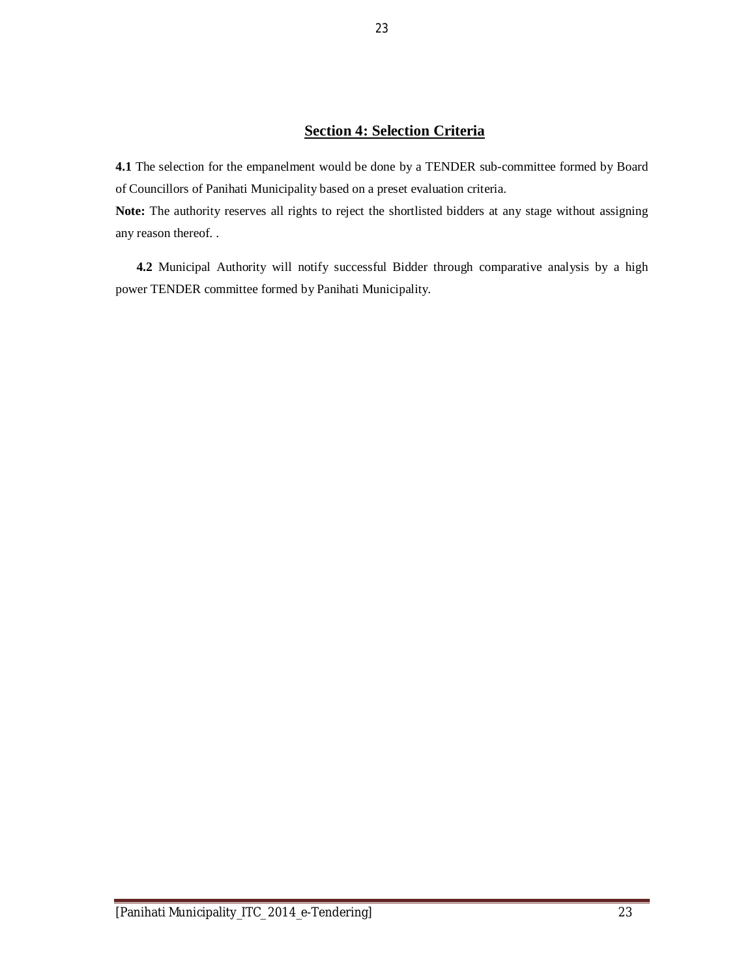### **Section 4: Selection Criteria**

**4.1** The selection for the empanelment would be done by a TENDER sub-committee formed by Board of Councillors of Panihati Municipality based on a preset evaluation criteria.

**Note:** The authority reserves all rights to reject the shortlisted bidders at any stage without assigning any reason thereof. .

**4.2** Municipal Authority will notify successful Bidder through comparative analysis by a high power TENDER committee formed by Panihati Municipality.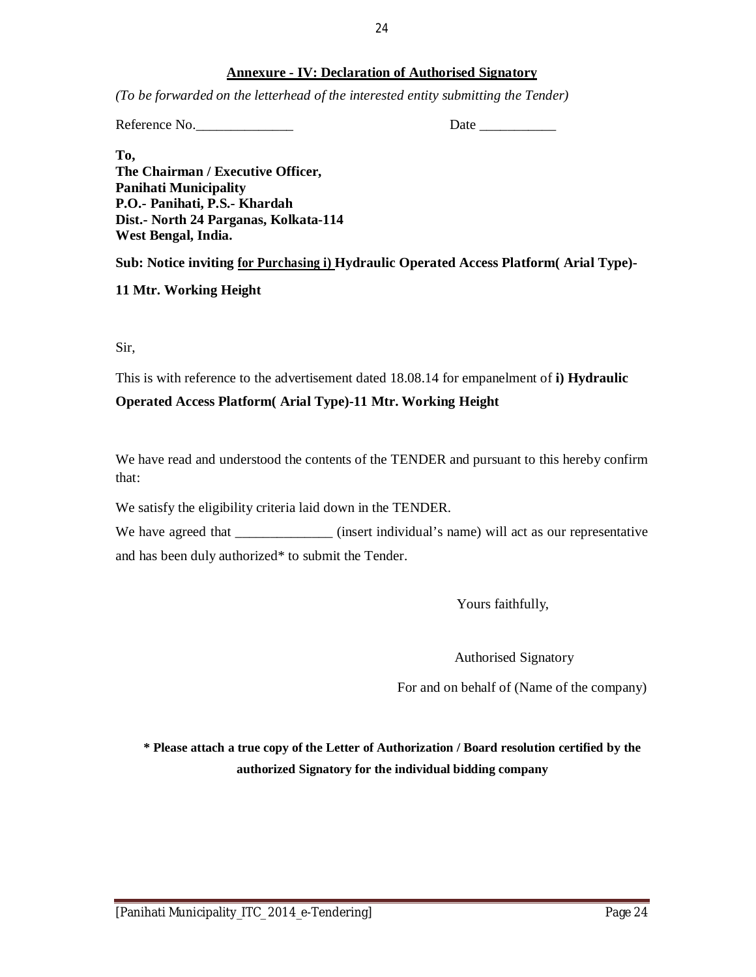#### 24

#### **Annexure - IV: Declaration of Authorised Signatory**

*(To be forwarded on the letterhead of the interested entity submitting the Tender)*

Reference No. Date

**To, The Chairman / Executive Officer, Panihati Municipality P.O.- Panihati, P.S.- Khardah Dist.- North 24 Parganas, Kolkata-114 West Bengal, India.**

**Sub: Notice inviting for Purchasing i) Hydraulic Operated Access Platform( Arial Type)-**

**11 Mtr. Working Height**

Sir,

This is with reference to the advertisement dated 18.08.14 for empanelment of **i) Hydraulic** 

#### **Operated Access Platform( Arial Type)-11 Mtr. Working Height**

We have read and understood the contents of the TENDER and pursuant to this hereby confirm that:

We satisfy the eligibility criteria laid down in the TENDER.

We have agreed that \_\_\_\_\_\_\_\_\_\_\_\_\_ (insert individual's name) will act as our representative and has been duly authorized\* to submit the Tender.

Yours faithfully,

Authorised Signatory

For and on behalf of (Name of the company)

**\* Please attach a true copy of the Letter of Authorization / Board resolution certified by the authorized Signatory for the individual bidding company**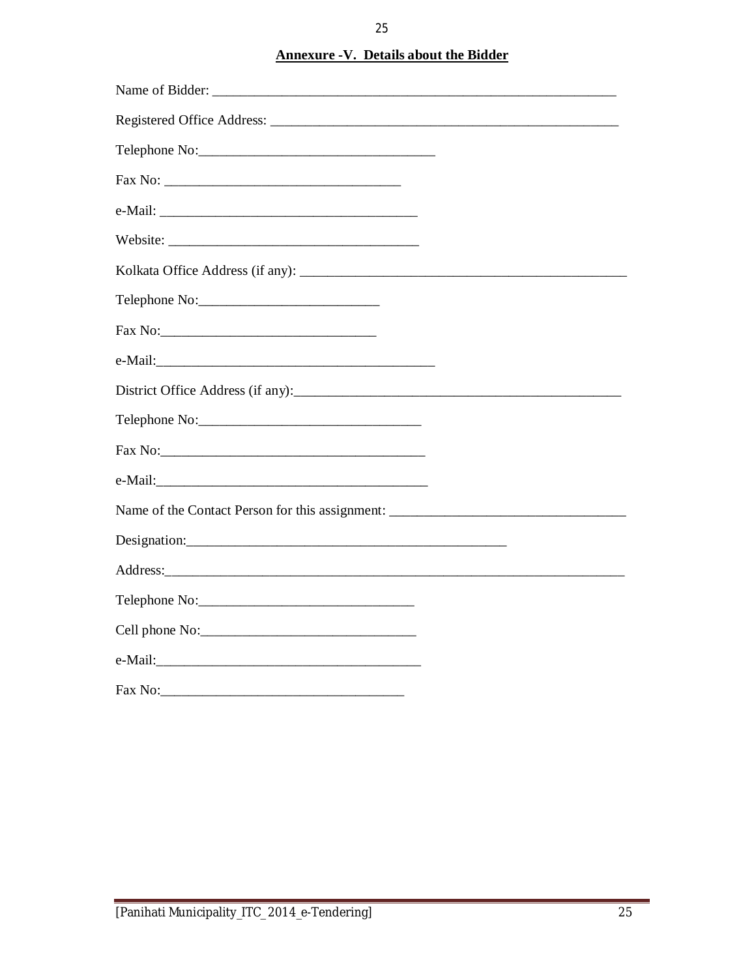### **Annexure - V. Details about the Bidder**

| Name of Bidder:                                                                   |  |
|-----------------------------------------------------------------------------------|--|
|                                                                                   |  |
| Telephone No:                                                                     |  |
|                                                                                   |  |
|                                                                                   |  |
|                                                                                   |  |
|                                                                                   |  |
| Telephone No:                                                                     |  |
|                                                                                   |  |
|                                                                                   |  |
|                                                                                   |  |
| Telephone No:                                                                     |  |
|                                                                                   |  |
|                                                                                   |  |
| Name of the Contact Person for this assignment: _________________________________ |  |
|                                                                                   |  |
|                                                                                   |  |
|                                                                                   |  |
| Cell phone No:                                                                    |  |
|                                                                                   |  |
| Fax No:                                                                           |  |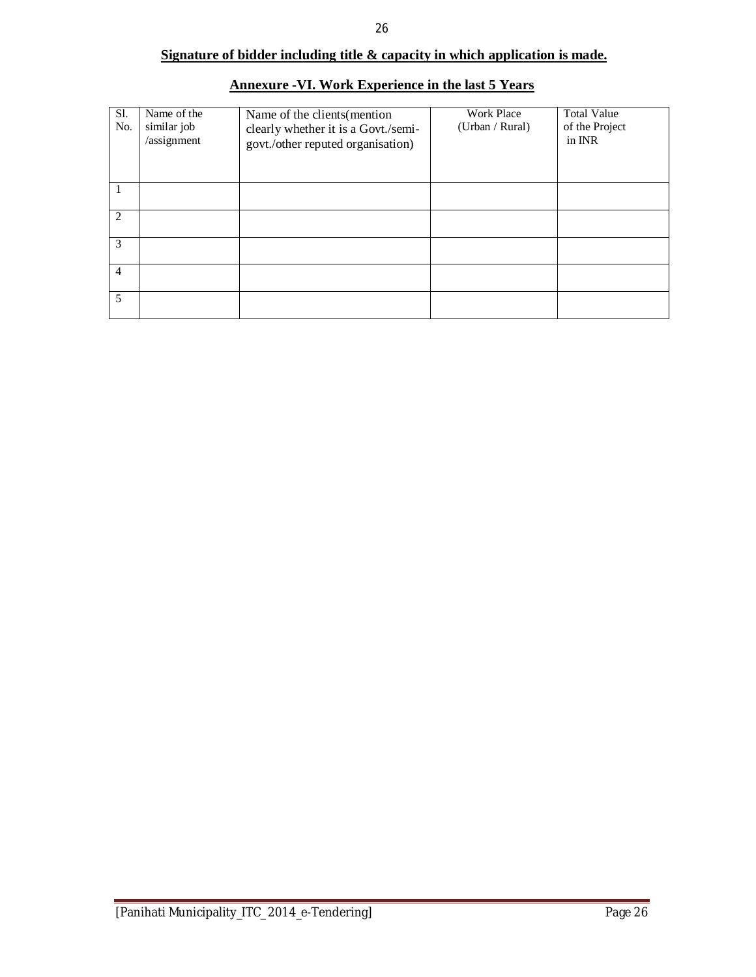### **Signature of bidder including title & capacity in which application is made.**

| Sl.<br>No.     | Name of the<br>similar job<br>/assignment | Name of the clients (mention<br>clearly whether it is a Govt./semi-<br>govt./other reputed organisation) | <b>Work Place</b><br>(Urban / Rural) | <b>Total Value</b><br>of the Project<br>in INR |
|----------------|-------------------------------------------|----------------------------------------------------------------------------------------------------------|--------------------------------------|------------------------------------------------|
|                |                                           |                                                                                                          |                                      |                                                |
| 2              |                                           |                                                                                                          |                                      |                                                |
| 3              |                                           |                                                                                                          |                                      |                                                |
| $\overline{4}$ |                                           |                                                                                                          |                                      |                                                |
| 5              |                                           |                                                                                                          |                                      |                                                |

### **Annexure -VI. Work Experience in the last 5 Years**